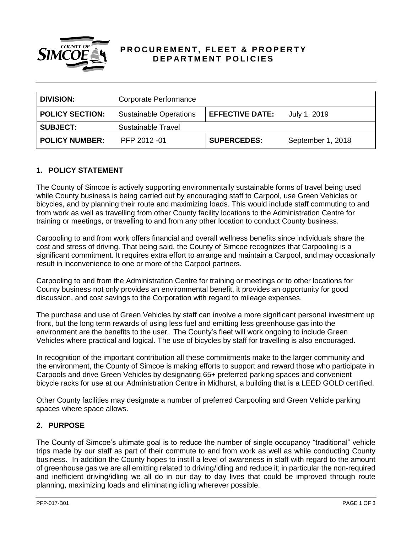

# PROCUREMENT, FLEET & PROPERTY **DEPARTMENT POLICIES**

| <b>DIVISION:</b>       | Corporate Performance         |                        |                   |
|------------------------|-------------------------------|------------------------|-------------------|
| <b>POLICY SECTION:</b> | <b>Sustainable Operations</b> | <b>EFFECTIVE DATE:</b> | July 1, 2019      |
| <b>SUBJECT:</b>        | Sustainable Travel            |                        |                   |
| <b>POLICY NUMBER:</b>  | PFP 2012 -01                  | <b>SUPERCEDES:</b>     | September 1, 2018 |

### **1. POLICY STATEMENT**

The County of Simcoe is actively supporting environmentally sustainable forms of travel being used while County business is being carried out by encouraging staff to Carpool, use Green Vehicles or bicycles, and by planning their route and maximizing loads. This would include staff commuting to and from work as well as travelling from other County facility locations to the Administration Centre for training or meetings, or travelling to and from any other location to conduct County business.

Carpooling to and from work offers financial and overall wellness benefits since individuals share the cost and stress of driving. That being said, the County of Simcoe recognizes that Carpooling is a significant commitment. It requires extra effort to arrange and maintain a Carpool, and may occasionally result in inconvenience to one or more of the Carpool partners.

Carpooling to and from the Administration Centre for training or meetings or to other locations for County business not only provides an environmental benefit, it provides an opportunity for good discussion, and cost savings to the Corporation with regard to mileage expenses.

The purchase and use of Green Vehicles by staff can involve a more significant personal investment up front, but the long term rewards of using less fuel and emitting less greenhouse gas into the environment are the benefits to the user. The County's fleet will work ongoing to include Green Vehicles where practical and logical. The use of bicycles by staff for travelling is also encouraged.

In recognition of the important contribution all these commitments make to the larger community and the environment, the County of Simcoe is making efforts to support and reward those who participate in Carpools and drive Green Vehicles by designating 65+ preferred parking spaces and convenient bicycle racks for use at our Administration Centre in Midhurst, a building that is a LEED GOLD certified.

Other County facilities may designate a number of preferred Carpooling and Green Vehicle parking spaces where space allows.

### **2. PURPOSE**

The County of Simcoe's ultimate goal is to reduce the number of single occupancy "traditional" vehicle trips made by our staff as part of their commute to and from work as well as while conducting County business. In addition the County hopes to instill a level of awareness in staff with regard to the amount of greenhouse gas we are all emitting related to driving/idling and reduce it; in particular the non-required and inefficient driving/idling we all do in our day to day lives that could be improved through route planning, maximizing loads and eliminating idling wherever possible.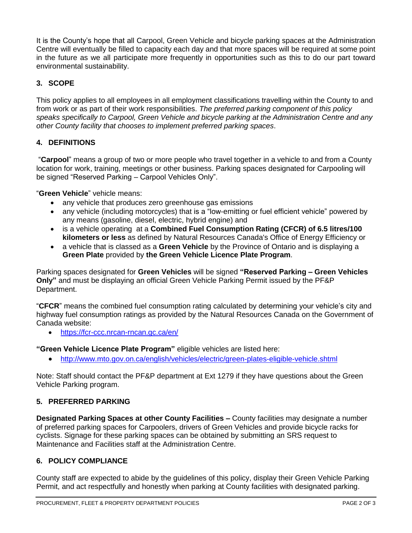It is the County's hope that all Carpool, Green Vehicle and bicycle parking spaces at the Administration Centre will eventually be filled to capacity each day and that more spaces will be required at some point in the future as we all participate more frequently in opportunities such as this to do our part toward environmental sustainability.

# **3. SCOPE**

This policy applies to all employees in all employment classifications travelling within the County to and from work or as part of their work responsibilities. *The preferred parking component of this policy speaks specifically to Carpool, Green Vehicle and bicycle parking at the Administration Centre and any other County facility that chooses to implement preferred parking spaces*.

## **4. DEFINITIONS**

"**Carpool**" means a group of two or more people who travel together in a vehicle to and from a County location for work, training, meetings or other business. Parking spaces designated for Carpooling will be signed "Reserved Parking – Carpool Vehicles Only".

"**Green Vehicle**" vehicle means:

- any vehicle that produces zero greenhouse gas emissions
- any vehicle (including motorcycles) that is a "low-emitting or fuel efficient vehicle" powered by any means (gasoline, diesel, electric, hybrid engine) and
- is a vehicle operating at a **Combined Fuel Consumption Rating (CFCR) of 6.5 litres/100 kilometers or less** as defined by Natural Resources Canada's Office of Energy Efficiency or
- a vehicle that is classed as a **Green Vehicle** by the Province of Ontario and is displaying a **Green Plate** provided by **the Green Vehicle Licence Plate Program**.

Parking spaces designated for **Green Vehicles** will be signed **"Reserved Parking – Green Vehicles Only"** and must be displaying an official Green Vehicle Parking Permit issued by the PF&P Department.

"**CFCR**" means the combined fuel consumption rating calculated by determining your vehicle's city and highway fuel consumption ratings as provided by the Natural Resources Canada on the Government of Canada website:

<https://fcr-ccc.nrcan-rncan.gc.ca/en/>

**"Green Vehicle Licence Plate Program"** eligible vehicles are listed here:

<http://www.mto.gov.on.ca/english/vehicles/electric/green-plates-eligible-vehicle.shtml>

Note: Staff should contact the PF&P department at Ext 1279 if they have questions about the Green Vehicle Parking program.

## **5. PREFERRED PARKING**

**Designated Parking Spaces at other County Facilities –** County facilities may designate a number of preferred parking spaces for Carpoolers, drivers of Green Vehicles and provide bicycle racks for cyclists. Signage for these parking spaces can be obtained by submitting an SRS request to Maintenance and Facilities staff at the Administration Centre.

## **6. POLICY COMPLIANCE**

County staff are expected to abide by the guidelines of this policy, display their Green Vehicle Parking Permit, and act respectfully and honestly when parking at County facilities with designated parking.